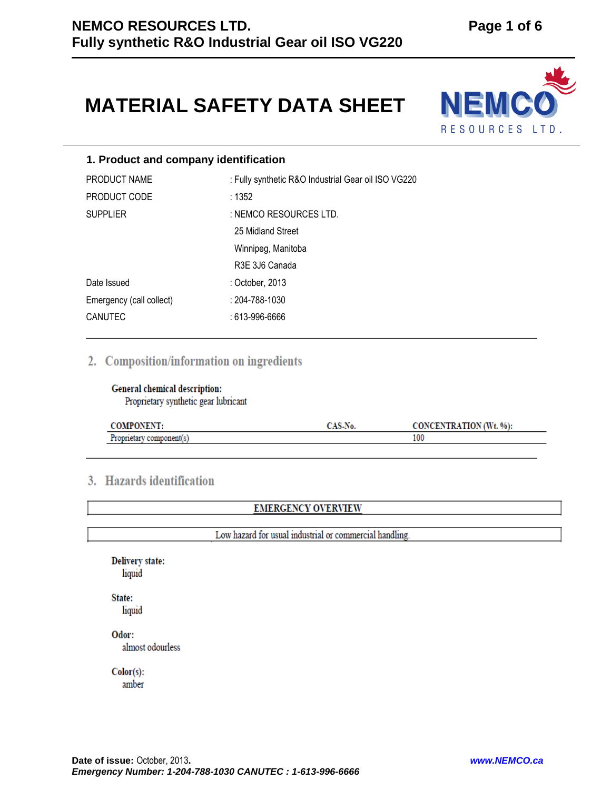# **MATERIAL SAFETY DATA SHEET**



# **1. Product and company identification**

| PRODUCT NAME             | : Fully synthetic R&O Industrial Gear oil ISO VG220 |  |
|--------------------------|-----------------------------------------------------|--|
| PRODUCT CODE             | :1352                                               |  |
| <b>SUPPLIER</b>          | : NEMCO RESOURCES LTD.                              |  |
|                          | 25 Midland Street                                   |  |
|                          | Winnipeg, Manitoba                                  |  |
|                          | R3E 3J6 Canada                                      |  |
| Date Issued              | : October, 2013                                     |  |
| Emergency (call collect) | $: 204 - 788 - 1030$                                |  |
| <b>CANUTEC</b>           | : 613-996-6666                                      |  |

# 2. Composition/information on ingredients

General chemical description: Proprietary synthetic gear lubricant

| <b>COMPONENT:</b>        | <b>A CLAY</b><br>UAD-NO. | TRATION (Wt. %):<br><b>CONCE</b> 1 |
|--------------------------|--------------------------|------------------------------------|
| Proprietary<br>component |                          | 100                                |

# 3. Hazards identification

**EMERGENCY OVERVIEW** 

Low hazard for usual industrial or commercial handling.

**Delivery state:** liquid

State: liquid

Odor: almost odourless

 $Color(s):$ 

amber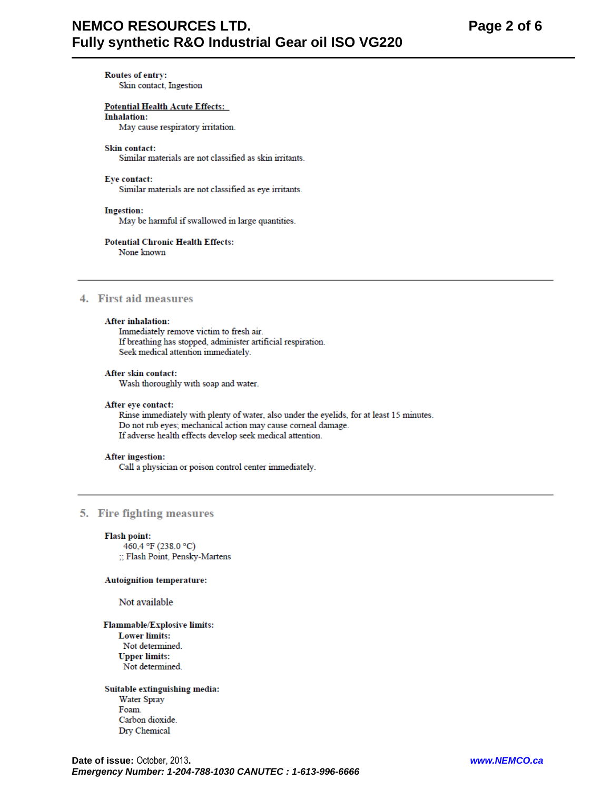# **NEMCO RESOURCES LTD.** Fully synthetic R&O Industrial Gear oil ISO VG220

**Routes of entry:** Skin contact, Ingestion

**Potential Health Acute Effects: Inhalation:** 

May cause respiratory irritation.

#### **Skin contact:**

Similar materials are not classified as skin irritants.

#### Eye contact:

Similar materials are not classified as eye irritants.

#### **Ingestion:**

May be harmful if swallowed in large quantities.

# **Potential Chronic Health Effects:**

None known

# 4. First aid measures

#### **After inhalation:**

Immediately remove victim to fresh air. If breathing has stopped, administer artificial respiration. Seek medical attention immediately.

#### After skin contact:

Wash thoroughly with soap and water.

#### After eye contact:

Rinse immediately with plenty of water, also under the eyelids, for at least 15 minutes. Do not rub eyes; mechanical action may cause corneal damage. If adverse health effects develop seek medical attention.

#### **After ingestion:**

Call a physician or poison control center immediately.

#### 5. Fire fighting measures

#### **Flash point:**

460,4 °F (238.0 °C) ;; Flash Point, Pensky-Martens

#### **Autoignition temperature:**

Not available

**Flammable/Explosive limits: Lower limits:** Not determined. **Upper limits:** Not determined.

Suitable extinguishing media: Water Spray Foam Carbon dioxide. Dry Chemical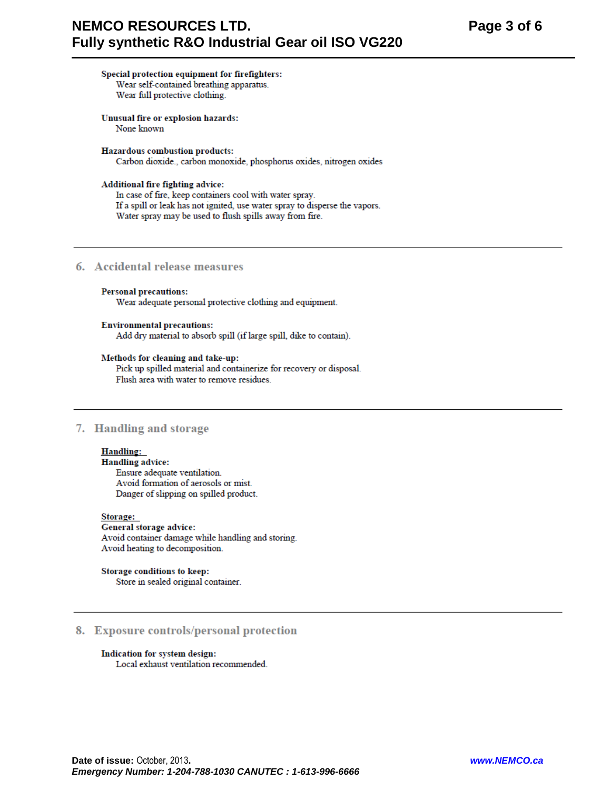# Special protection equipment for firefighters: Wear self-contained breathing apparatus.

Wear full protective clothing.

Unusual fire or explosion hazards: None known

#### Hazardous combustion products:

Carbon dioxide., carbon monoxide, phosphorus oxides, nitrogen oxides

#### Additional fire fighting advice:

In case of fire, keep containers cool with water spray. If a spill or leak has not ignited, use water spray to disperse the vapors. Water spray may be used to flush spills away from fire.

# 6. Accidental release measures

#### **Personal precautions:**

Wear adequate personal protective clothing and equipment.

#### **Environmental precautions:**

Add dry material to absorb spill (if large spill, dike to contain).

#### Methods for cleaning and take-up:

Pick up spilled material and containerize for recovery or disposal. Flush area with water to remove residues.

## 7. Handling and storage

# **Handling:**

**Handling advice:** Ensure adequate ventilation. Avoid formation of aerosols or mist. Danger of slipping on spilled product.

Storage: General storage advice: Avoid container damage while handling and storing. Avoid heating to decomposition.

Storage conditions to keep: Store in sealed original container.

## 8. Exposure controls/personal protection

Indication for system design: Local exhaust ventilation recommended.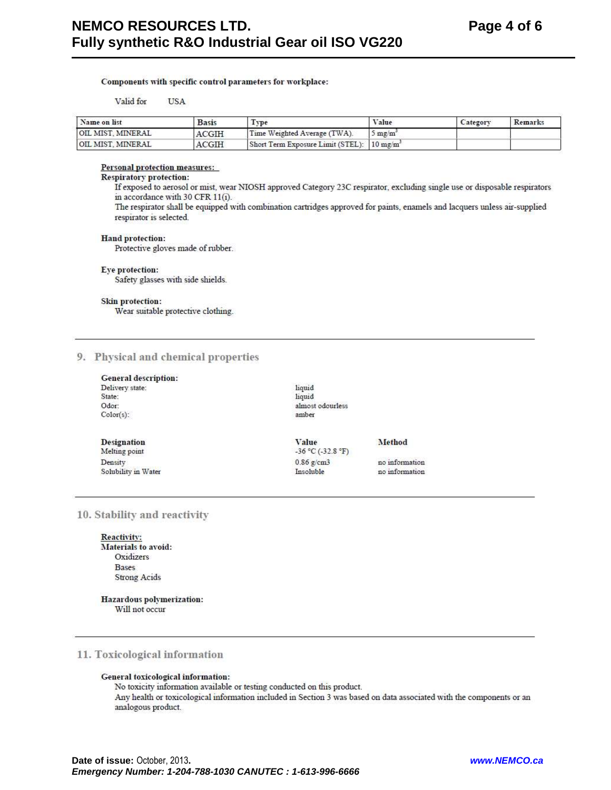#### Components with specific control parameters for workplace:

Valid for **USA** 

| Name on list      | <b>Basis</b> | Type                                                   | Value            | Category | Remarks |
|-------------------|--------------|--------------------------------------------------------|------------------|----------|---------|
| OIL MIST. MINERAL | ACGIH        | Time Weighted Average (TWA).                           | $5 \text{ mg/m}$ |          |         |
| OIL MIST. MINERAL | ACGIH        | Short Term Exposure Limit (STEL): 10 mg/m <sup>2</sup> |                  |          |         |

Personal protection measures:

## **Respiratory protection:**

If exposed to aerosol or mist, wear NIOSH approved Category 23C respirator, excluding single use or disposable respirators in accordance with 30 CFR 11(i).

The respirator shall be equipped with combination cartridges approved for paints, enamels and lacquers unless air-supplied respirator is selected.

#### **Hand protection:**

Protective gloves made of rubber.

#### Eye protection:

Safety glasses with side shields.

#### Skin protection:

Wear suitable protective clothing.

#### 9. Physical and chemical properties

| <b>General description:</b> |  |
|-----------------------------|--|
| Delivery state:             |  |
| State:                      |  |
| Odor:                       |  |
| $Color(s)$ :                |  |

**Designation** 

Melting point

Solubility in Water

Density

liquid liquid almost odourless amber

Value  $-36 °C (-32.8 °F)$  $0.86$  g/cm3 Insoluble

Method

no information no information

#### 10. Stability and reactivity

Reactivity: Materials to avoid: Oxidizers **Bases Strong Acids** 

Hazardous polymerization: Will not occur

#### 11. Toxicological information

#### General toxicological information:

No toxicity information available or testing conducted on this product. Any health or toxicological information included in Section 3 was based on data associated with the components or an analogous product.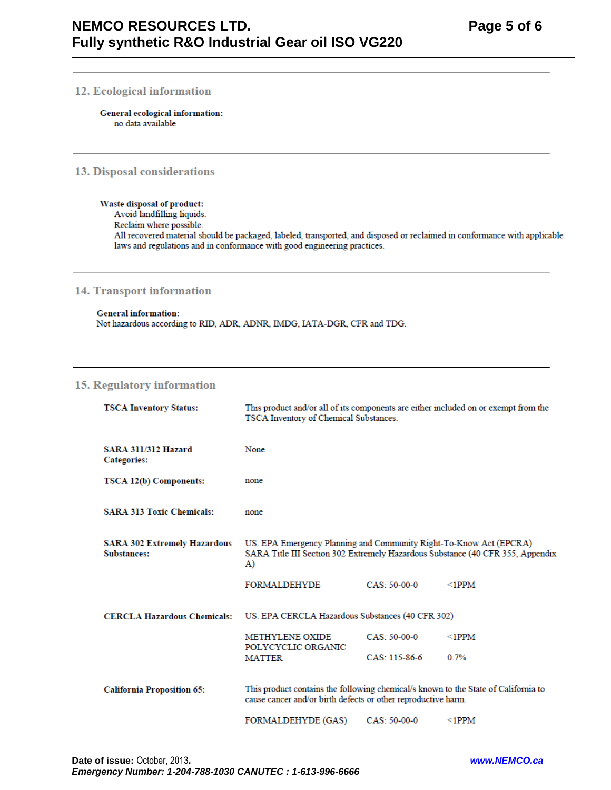# 12. Ecological information

General ecological information: no data available

# 13. Disposal considerations

#### Waste disposal of product:

Avoid landfilling liquids.

Reclaim where possible.

All recovered material should be packaged, labeled, transported, and disposed or reclaimed in conformance with applicable laws and regulations and in conformance with good engineering practices.

# **14. Transport information**

**General information:** Not hazardous according to RID, ADR, ADNR, IMDG, IATA-DGR, CFR and TDG.

# 15. Regulatory information

| <b>TSCA Inventory Status:</b>                             | This product and/or all of its components are either included on or exempt from the<br>TSCA Inventory of Chemical Substances.                              |                 |             |
|-----------------------------------------------------------|------------------------------------------------------------------------------------------------------------------------------------------------------------|-----------------|-------------|
| <b>SARA 311/312 Hazard</b><br><b>Categories:</b>          | None                                                                                                                                                       |                 |             |
| TSCA 12(b) Components:                                    | none                                                                                                                                                       |                 |             |
| <b>SARA 313 Toxic Chemicals:</b>                          | none                                                                                                                                                       |                 |             |
| <b>SARA 302 Extremely Hazardous</b><br><b>Substances:</b> | US. EPA Emergency Planning and Community Right-To-Know Act (EPCRA)<br>SARA Title III Section 302 Extremely Hazardous Substance (40 CFR 355, Appendix<br>A) |                 |             |
|                                                           | FORMALDEHYDE                                                                                                                                               | $CAS: 50-00-0$  | $\leq$ 1PPM |
| <b>CERCLA Hazardous Chemicals:</b>                        | US. EPA CERCLA Hazardous Substances (40 CFR 302)                                                                                                           |                 |             |
|                                                           | <b>METHYLENE OXIDE</b><br>POLYCYCLIC ORGANIC                                                                                                               | $CAS: 50-00-0$  | $\leq$ 1PPM |
|                                                           | <b>MATTER</b>                                                                                                                                              | $CAS: 115-86-6$ | 0.7%        |
| <b>California Proposition 65:</b>                         | This product contains the following chemical/s known to the State of California to<br>cause cancer and/or birth defects or other reproductive harm.        |                 |             |
|                                                           | FORMALDEHYDE (GAS)                                                                                                                                         | CAS: 50-00-0    | $\leq$ 1PPM |